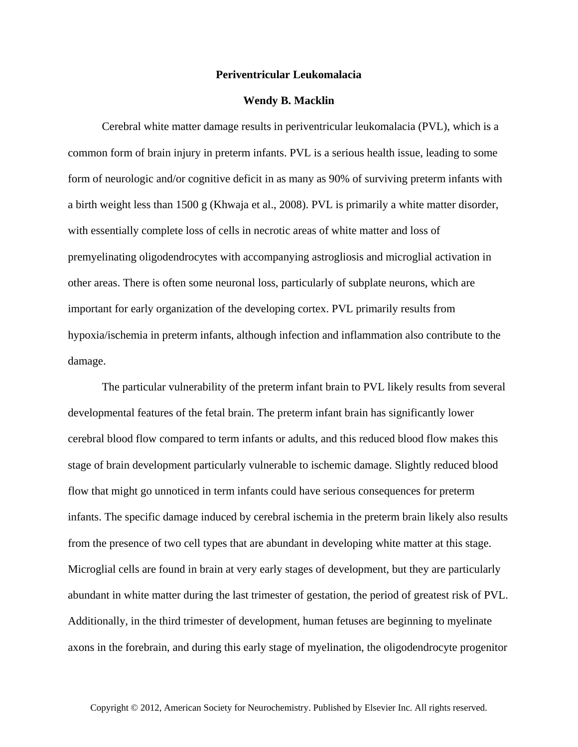## **Periventricular Leukomalacia**

## **Wendy B. Macklin**

Cerebral white matter damage results in periventricular leukomalacia (PVL), which is a common form of brain injury in preterm infants. PVL is a serious health issue, leading to some form of neurologic and/or cognitive deficit in as many as 90% of surviving preterm infants with a birth weight less than 1500 g (Khwaja et al., 2008). PVL is primarily a white matter disorder, with essentially complete loss of cells in necrotic areas of white matter and loss of premyelinating oligodendrocytes with accompanying astrogliosis and microglial activation in other areas. There is often some neuronal loss, particularly of subplate neurons, which are important for early organization of the developing cortex. PVL primarily results from hypoxia/ischemia in preterm infants, although infection and inflammation also contribute to the damage.

The particular vulnerability of the preterm infant brain to PVL likely results from several developmental features of the fetal brain. The preterm infant brain has significantly lower cerebral blood flow compared to term infants or adults, and this reduced blood flow makes this stage of brain development particularly vulnerable to ischemic damage. Slightly reduced blood flow that might go unnoticed in term infants could have serious consequences for preterm infants. The specific damage induced by cerebral ischemia in the preterm brain likely also results from the presence of two cell types that are abundant in developing white matter at this stage. Microglial cells are found in brain at very early stages of development, but they are particularly abundant in white matter during the last trimester of gestation, the period of greatest risk of PVL. Additionally, in the third trimester of development, human fetuses are beginning to myelinate axons in the forebrain, and during this early stage of myelination, the oligodendrocyte progenitor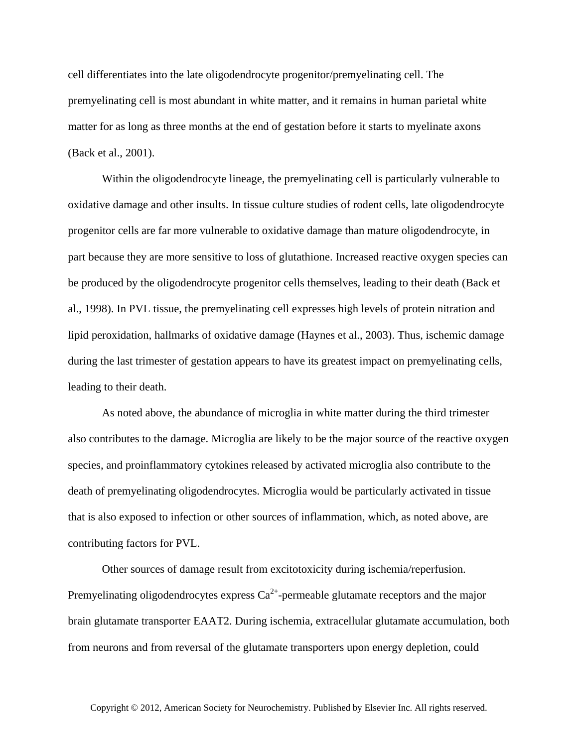cell differentiates into the late oligodendrocyte progenitor/premyelinating cell. The premyelinating cell is most abundant in white matter, and it remains in human parietal white matter for as long as three months at the end of gestation before it starts to myelinate axons (Back et al., 2001).

Within the oligodendrocyte lineage, the premyelinating cell is particularly vulnerable to oxidative damage and other insults. In tissue culture studies of rodent cells, late oligodendrocyte progenitor cells are far more vulnerable to oxidative damage than mature oligodendrocyte, in part because they are more sensitive to loss of glutathione. Increased reactive oxygen species can be produced by the oligodendrocyte progenitor cells themselves, leading to their death (Back et al., 1998). In PVL tissue, the premyelinating cell expresses high levels of protein nitration and lipid peroxidation, hallmarks of oxidative damage (Haynes et al., 2003). Thus, ischemic damage during the last trimester of gestation appears to have its greatest impact on premyelinating cells, leading to their death.

As noted above, the abundance of microglia in white matter during the third trimester also contributes to the damage. Microglia are likely to be the major source of the reactive oxygen species, and proinflammatory cytokines released by activated microglia also contribute to the death of premyelinating oligodendrocytes. Microglia would be particularly activated in tissue that is also exposed to infection or other sources of inflammation, which, as noted above, are contributing factors for PVL.

Other sources of damage result from excitotoxicity during ischemia/reperfusion. Premyelinating oligodendrocytes express  $Ca^{2+}$ -permeable glutamate receptors and the major brain glutamate transporter EAAT2. During ischemia, extracellular glutamate accumulation, both from neurons and from reversal of the glutamate transporters upon energy depletion, could